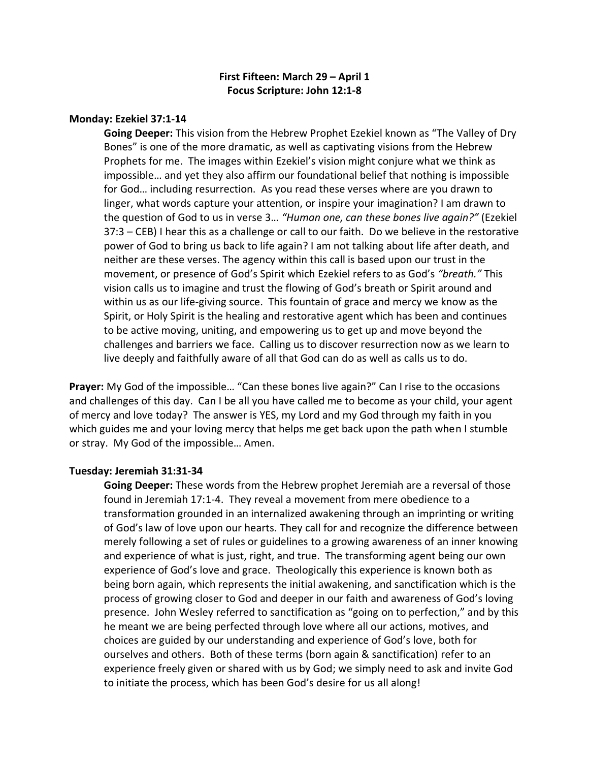# **First Fifteen: March 29 – April 1 Focus Scripture: John 12:1-8**

# **Monday: Ezekiel 37:1-14**

**Going Deeper:** This vision from the Hebrew Prophet Ezekiel known as "The Valley of Dry Bones" is one of the more dramatic, as well as captivating visions from the Hebrew Prophets for me. The images within Ezekiel's vision might conjure what we think as impossible… and yet they also affirm our foundational belief that nothing is impossible for God… including resurrection. As you read these verses where are you drawn to linger, what words capture your attention, or inspire your imagination? I am drawn to the question of God to us in verse 3… *"Human one, can these bones live again?"* (Ezekiel 37:3 – CEB) I hear this as a challenge or call to our faith. Do we believe in the restorative power of God to bring us back to life again? I am not talking about life after death, and neither are these verses. The agency within this call is based upon our trust in the movement, or presence of God's Spirit which Ezekiel refers to as God's *"breath."* This vision calls us to imagine and trust the flowing of God's breath or Spirit around and within us as our life-giving source. This fountain of grace and mercy we know as the Spirit, or Holy Spirit is the healing and restorative agent which has been and continues to be active moving, uniting, and empowering us to get up and move beyond the challenges and barriers we face. Calling us to discover resurrection now as we learn to live deeply and faithfully aware of all that God can do as well as calls us to do.

**Prayer:** My God of the impossible… "Can these bones live again?" Can I rise to the occasions and challenges of this day. Can I be all you have called me to become as your child, your agent of mercy and love today? The answer is YES, my Lord and my God through my faith in you which guides me and your loving mercy that helps me get back upon the path when I stumble or stray. My God of the impossible… Amen.

### **Tuesday: Jeremiah 31:31-34**

**Going Deeper:** These words from the Hebrew prophet Jeremiah are a reversal of those found in Jeremiah 17:1-4. They reveal a movement from mere obedience to a transformation grounded in an internalized awakening through an imprinting or writing of God's law of love upon our hearts. They call for and recognize the difference between merely following a set of rules or guidelines to a growing awareness of an inner knowing and experience of what is just, right, and true. The transforming agent being our own experience of God's love and grace. Theologically this experience is known both as being born again, which represents the initial awakening, and sanctification which is the process of growing closer to God and deeper in our faith and awareness of God's loving presence. John Wesley referred to sanctification as "going on to perfection," and by this he meant we are being perfected through love where all our actions, motives, and choices are guided by our understanding and experience of God's love, both for ourselves and others. Both of these terms (born again & sanctification) refer to an experience freely given or shared with us by God; we simply need to ask and invite God to initiate the process, which has been God's desire for us all along!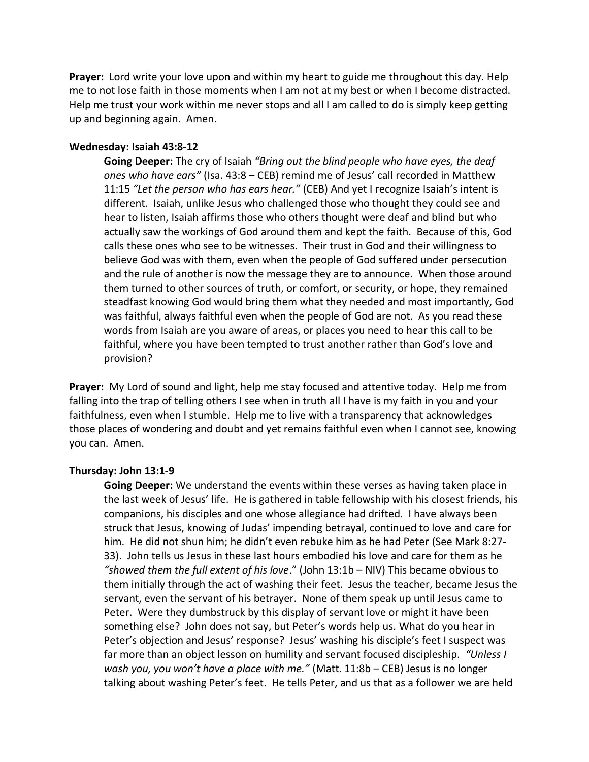**Prayer:** Lord write your love upon and within my heart to guide me throughout this day. Help me to not lose faith in those moments when I am not at my best or when I become distracted. Help me trust your work within me never stops and all I am called to do is simply keep getting up and beginning again. Amen.

#### **Wednesday: Isaiah 43:8-12**

**Going Deeper:** The cry of Isaiah *"Bring out the blind people who have eyes, the deaf ones who have ears"* (Isa. 43:8 – CEB) remind me of Jesus' call recorded in Matthew 11:15 *"Let the person who has ears hear."* (CEB) And yet I recognize Isaiah's intent is different. Isaiah, unlike Jesus who challenged those who thought they could see and hear to listen, Isaiah affirms those who others thought were deaf and blind but who actually saw the workings of God around them and kept the faith. Because of this, God calls these ones who see to be witnesses. Their trust in God and their willingness to believe God was with them, even when the people of God suffered under persecution and the rule of another is now the message they are to announce. When those around them turned to other sources of truth, or comfort, or security, or hope, they remained steadfast knowing God would bring them what they needed and most importantly, God was faithful, always faithful even when the people of God are not. As you read these words from Isaiah are you aware of areas, or places you need to hear this call to be faithful, where you have been tempted to trust another rather than God's love and provision?

**Prayer:** My Lord of sound and light, help me stay focused and attentive today. Help me from falling into the trap of telling others I see when in truth all I have is my faith in you and your faithfulness, even when I stumble. Help me to live with a transparency that acknowledges those places of wondering and doubt and yet remains faithful even when I cannot see, knowing you can. Amen.

### **Thursday: John 13:1-9**

**Going Deeper:** We understand the events within these verses as having taken place in the last week of Jesus' life. He is gathered in table fellowship with his closest friends, his companions, his disciples and one whose allegiance had drifted. I have always been struck that Jesus, knowing of Judas' impending betrayal, continued to love and care for him. He did not shun him; he didn't even rebuke him as he had Peter (See Mark 8:27- 33). John tells us Jesus in these last hours embodied his love and care for them as he *"showed them the full extent of his love*." (John 13:1b – NIV) This became obvious to them initially through the act of washing their feet. Jesus the teacher, became Jesus the servant, even the servant of his betrayer. None of them speak up until Jesus came to Peter. Were they dumbstruck by this display of servant love or might it have been something else? John does not say, but Peter's words help us. What do you hear in Peter's objection and Jesus' response? Jesus' washing his disciple's feet I suspect was far more than an object lesson on humility and servant focused discipleship. *"Unless I wash you, you won't have a place with me."* (Matt. 11:8b – CEB) Jesus is no longer talking about washing Peter's feet. He tells Peter, and us that as a follower we are held